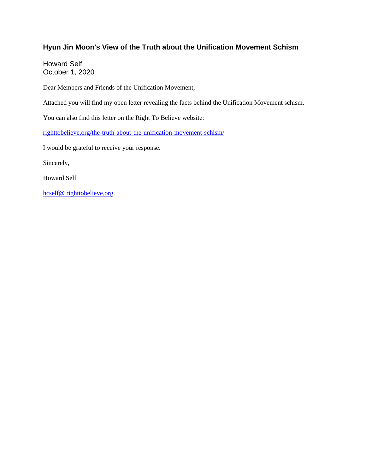# **Hyun Jin Moon's View of the Truth about the Unification Movement Schism**

Howard Self October 1, 2020

Dear Members and Friends of the Unification Movement,

Attached you will find my open letter revealing the facts behind the Unification Movement schism.

You can also find this letter on the Right To Believe website:

righttobelieve,org/the-truth-about-the-unification-movement-schism/

I would be grateful to receive your response.

Sincerely,

Howard Self

hcself@ righttobelieve,org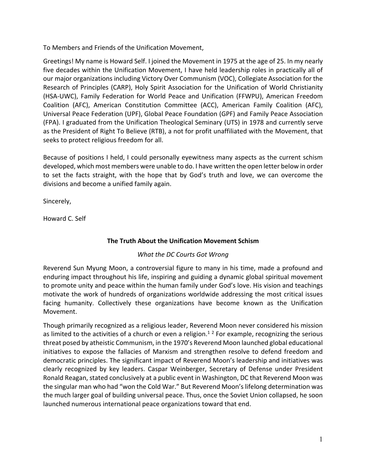To Members and Friends of the Unification Movement,

Greetings! My name is Howard Self. I joined the Movement in 1975 at the age of 25. In my nearly five decades within the Unification Movement, I have held leadership roles in practically all of our major organizations including Victory Over Communism (VOC), Collegiate Association for the Research of Principles (CARP), Holy Spirit Association for the Unification of World Christianity (HSA-UWC), Family Federation for World Peace and Unification (FFWPU), American Freedom Coalition (AFC), American Constitution Committee (ACC), American Family Coalition (AFC), Universal Peace Federation (UPF), Global Peace Foundation (GPF) and Family Peace Association (FPA). I graduated from the Unification Theological Seminary (UTS) in 1978 and currently serve as the President of Right To Believe (RTB), a not for profit unaffiliated with the Movement, that seeks to protect religious freedom for all.

Because of positions I held, I could personally eyewitness many aspects as the current schism developed, which most members were unable to do. I have written the open letter below in order to set the facts straight, with the hope that by God's truth and love, we can overcome the divisions and become a unified family again.

Sincerely,

Howard C. Self

## **The Truth About the Unification Movement Schism**

## *What the DC Courts Got Wrong*

Reverend Sun Myung Moon, a controversial figure to many in his time, made a profound and enduring impact throughout his life, inspiring and guiding a dynamic global spiritual movement to promote unity and peace within the human family under God's love. His vision and teachings motivate the work of hundreds of organizations worldwide addressing the most critical issues facing humanity. Collectively these organizations have become known as the Unification Movement.

Though primarily recognized as a religious leader, Reverend Moon never considered his mission as limited to the activities of a church or even a religion.<sup>12</sup> For example, recognizing the serious threat posed by atheistic Communism, in the 1970's Reverend Moon launched global educational initiatives to expose the fallacies of Marxism and strengthen resolve to defend freedom and democratic principles. The significant impact of Reverend Moon's leadership and initiatives was clearly recognized by key leaders. Caspar Weinberger, Secretary of Defense under President Ronald Reagan, stated conclusively at a public event in Washington, DC that Reverend Moon was the singular man who had "won the Cold War." But Reverend Moon's lifelong determination was the much larger goal of building universal peace. Thus, once the Soviet Union collapsed, he soon launched numerous international peace organizations toward that end.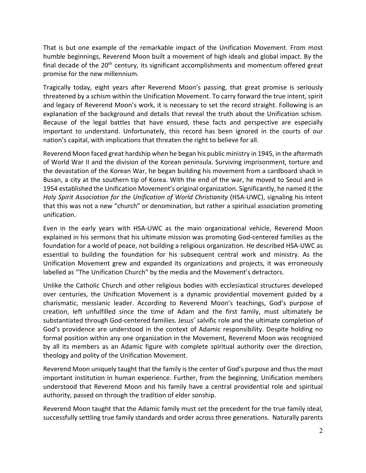That is but one example of the remarkable impact of the Unification Movement. From most humble beginnings, Reverend Moon built a movement of high ideals and global impact. By the final decade of the  $20<sup>th</sup>$  century, its significant accomplishments and momentum offered great promise for the new millennium.

Tragically today, eight years after Reverend Moon's passing, that great promise is seriously threatened by a schism within the Unification Movement. To carry forward the true intent, spirit and legacy of Reverend Moon's work, it is necessary to set the record straight. Following is an explanation of the background and details that reveal the truth about the Unification schism. Because of the legal battles that have ensued, these facts and perspective are especially important to understand. Unfortunately, this record has been ignored in the courts of our nation's capital, with implications that threaten the right to believe for all.

Reverend Moon faced great hardship when he began his public ministry in 1945, in the aftermath of World War II and the division of the Korean peninsula. Surviving imprisonment, torture and the devastation of the Korean War, he began building his movement from a cardboard shack in Busan, a city at the southern tip of Korea. With the end of the war, he moved to Seoul and in 1954 established the Unification Movement's original organization. Significantly, he named it the *Holy Spirit Association for the Unification of World Christianity* (HSA-UWC), signaling his intent that this was not a new "church" or denomination, but rather a spiritual association promoting unification.

Even in the early years with HSA-UWC as the main organizational vehicle, Reverend Moon explained in his sermons that his ultimate mission was promoting God-centered families as the foundation for a world of peace, not building a religious organization. He described HSA-UWC as essential to building the foundation for his subsequent central work and ministry. As the Unification Movement grew and expanded its organizations and projects, it was erroneously labelled as "The Unification Church" by the media and the Movement's detractors.

Unlike the Catholic Church and other religious bodies with ecclesiastical structures developed over centuries, the Unification Movement is a dynamic providential movement guided by a charismatic, messianic leader. According to Reverend Moon's teachings, God's purpose of creation, left unfulfilled since the time of Adam and the first family, must ultimately be substantiated through God-centered families. Jesus' salvific role and the ultimate completion of God's providence are understood in the context of Adamic responsibility. Despite holding no formal position within any one organization in the Movement, Reverend Moon was recognized by all its members as an Adamic figure with complete spiritual authority over the direction, theology and polity of the Unification Movement.

Reverend Moon uniquely taught that the family is the center of God's purpose and thus the most important institution in human experience. Further, from the beginning, Unification members understood that Reverend Moon and his family have a central providential role and spiritual authority, passed on through the tradition of elder sonship.

Reverend Moon taught that the Adamic family must set the precedent for the true family ideal, successfully settling true family standards and order across three generations. Naturally parents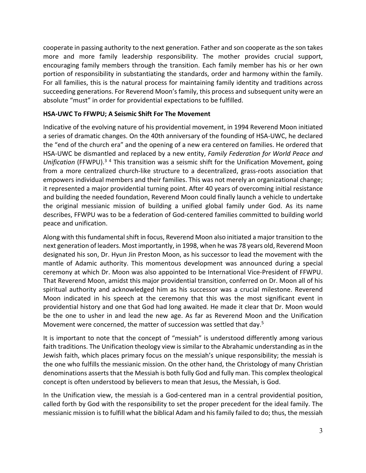cooperate in passing authority to the next generation. Father and son cooperate as the son takes more and more family leadership responsibility. The mother provides crucial support, encouraging family members through the transition. Each family member has his or her own portion of responsibility in substantiating the standards, order and harmony within the family. For all families, this is the natural process for maintaining family identity and traditions across succeeding generations. For Reverend Moon's family, this process and subsequent unity were an absolute "must" in order for providential expectations to be fulfilled.

### **HSA-UWC To FFWPU; A Seismic Shift For The Movement**

Indicative of the evolving nature of his providential movement, in 1994 Reverend Moon initiated a series of dramatic changes. On the 40th anniversary of the founding of HSA-UWC, he declared the "end of the church era" and the opening of a new era centered on families. He ordered that HSA-UWC be dismantled and replaced by a new entity, *Family Federation for World Peace and Unification* (FFWPU).3 <sup>4</sup> This transition was a seismic shift for the Unification Movement, going from a more centralized church-like structure to a decentralized, grass-roots association that empowers individual members and their families. This was not merely an organizational change; it represented a major providential turning point. After 40 years of overcoming initial resistance and building the needed foundation, Reverend Moon could finally launch a vehicle to undertake the original messianic mission of building a unified global family under God. As its name describes, FFWPU was to be a federation of God-centered families committed to building world peace and unification.

Along with this fundamental shift in focus, Reverend Moon also initiated a major transition to the next generation of leaders. Most importantly, in 1998, when he was 78 years old, Reverend Moon designated his son, Dr. Hyun Jin Preston Moon, as his successor to lead the movement with the mantle of Adamic authority. This momentous development was announced during a special ceremony at which Dr. Moon was also appointed to be International Vice-President of FFWPU. That Reverend Moon, amidst this major providential transition, conferred on Dr. Moon all of his spiritual authority and acknowledged him as his successor was a crucial milestone. Reverend Moon indicated in his speech at the ceremony that this was the most significant event in providential history and one that God had long awaited. He made it clear that Dr. Moon would be the one to usher in and lead the new age. As far as Reverend Moon and the Unification Movement were concerned, the matter of succession was settled that day.<sup>5</sup>

It is important to note that the concept of "messiah" is understood differently among various faith traditions. The Unification theology view is similar to the Abrahamic understanding as in the Jewish faith, which places primary focus on the messiah's unique responsibility; the messiah is the one who fulfills the messianic mission. On the other hand, the Christology of many Christian denominations asserts that the Messiah is both fully God and fully man. This complex theological concept is often understood by believers to mean that Jesus, the Messiah, is God.

In the Unification view, the messiah is a God-centered man in a central providential position, called forth by God with the responsibility to set the proper precedent for the ideal family. The messianic mission is to fulfill what the biblical Adam and his family failed to do; thus, the messiah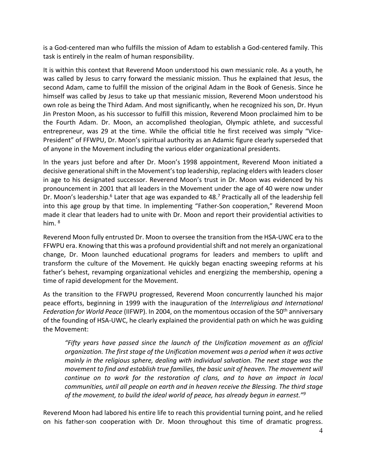is a God-centered man who fulfills the mission of Adam to establish a God-centered family. This task is entirely in the realm of human responsibility.

It is within this context that Reverend Moon understood his own messianic role. As a youth, he was called by Jesus to carry forward the messianic mission. Thus he explained that Jesus, the second Adam, came to fulfill the mission of the original Adam in the Book of Genesis. Since he himself was called by Jesus to take up that messianic mission, Reverend Moon understood his own role as being the Third Adam. And most significantly, when he recognized his son, Dr. Hyun Jin Preston Moon, as his successor to fulfill this mission, Reverend Moon proclaimed him to be the Fourth Adam. Dr. Moon, an accomplished theologian, Olympic athlete, and successful entrepreneur, was 29 at the time. While the official title he first received was simply "Vice-President" of FFWPU, Dr. Moon's spiritual authority as an Adamic figure clearly superseded that of anyone in the Movement including the various elder organizational presidents.

In the years just before and after Dr. Moon's 1998 appointment, Reverend Moon initiated a decisive generational shift in the Movement's top leadership, replacing elders with leaders closer in age to his designated successor. Reverend Moon's trust in Dr. Moon was evidenced by his pronouncement in 2001 that all leaders in the Movement under the age of 40 were now under Dr. Moon's leadership.<sup>6</sup> Later that age was expanded to 48.<sup>7</sup> Practically all of the leadership fell into this age group by that time. In implementing "Father-Son cooperation," Reverend Moon made it clear that leaders had to unite with Dr. Moon and report their providential activities to him. <sup>8</sup>

Reverend Moon fully entrusted Dr. Moon to oversee the transition from the HSA-UWC era to the FFWPU era. Knowing that this was a profound providential shift and not merely an organizational change, Dr. Moon launched educational programs for leaders and members to uplift and transform the culture of the Movement. He quickly began enacting sweeping reforms at his father's behest, revamping organizational vehicles and energizing the membership, opening a time of rapid development for the Movement.

As the transition to the FFWPU progressed, Reverend Moon concurrently launched his major peace efforts, beginning in 1999 with the inauguration of the *Interreligious and International Federation for World Peace* (IIFWP). In 2004, on the momentous occasion of the 50<sup>th</sup> anniversary of the founding of HSA-UWC, he clearly explained the providential path on which he was guiding the Movement:

*"Fifty years have passed since the launch of the Unification movement as an official organization. The first stage of the Unification movement was a period when it was active mainly in the religious sphere, dealing with individual salvation. The next stage was the movement to find and establish true families, the basic unit of heaven. The movement will continue on to work for the restoration of clans, and to have an impact in local communities, until all people on earth and in heaven receive the Blessing. The third stage of the movement, to build the ideal world of peace, has already begun in earnest."9*

Reverend Moon had labored his entire life to reach this providential turning point, and he relied on his father-son cooperation with Dr. Moon throughout this time of dramatic progress.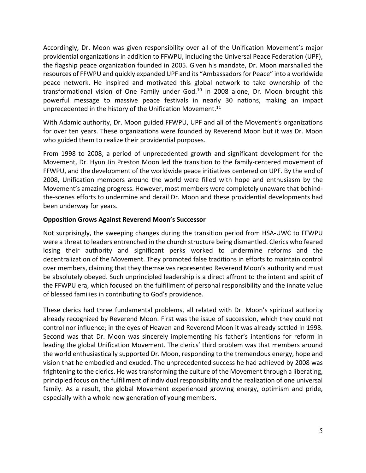Accordingly, Dr. Moon was given responsibility over all of the Unification Movement's major providential organizations in addition to FFWPU, including the Universal Peace Federation (UPF), the flagship peace organization founded in 2005. Given his mandate, Dr. Moon marshalled the resources of FFWPU and quickly expanded UPF and its "Ambassadors for Peace" into a worldwide peace network. He inspired and motivated this global network to take ownership of the transformational vision of One Family under God. $10$  In 2008 alone, Dr. Moon brought this powerful message to massive peace festivals in nearly 30 nations, making an impact unprecedented in the history of the Unification Movement.<sup>11</sup>

With Adamic authority, Dr. Moon guided FFWPU, UPF and all of the Movement's organizations for over ten years. These organizations were founded by Reverend Moon but it was Dr. Moon who guided them to realize their providential purposes.

From 1998 to 2008, a period of unprecedented growth and significant development for the Movement, Dr. Hyun Jin Preston Moon led the transition to the family-centered movement of FFWPU, and the development of the worldwide peace initiatives centered on UPF. By the end of 2008, Unification members around the world were filled with hope and enthusiasm by the Movement's amazing progress. However, most members were completely unaware that behindthe-scenes efforts to undermine and derail Dr. Moon and these providential developments had been underway for years.

#### **Opposition Grows Against Reverend Moon's Successor**

Not surprisingly, the sweeping changes during the transition period from HSA-UWC to FFWPU were a threat to leaders entrenched in the church structure being dismantled. Clerics who feared losing their authority and significant perks worked to undermine reforms and the decentralization of the Movement. They promoted false traditions in efforts to maintain control over members, claiming that they themselves represented Reverend Moon's authority and must be absolutely obeyed. Such unprincipled leadership is a direct affront to the intent and spirit of the FFWPU era, which focused on the fulfillment of personal responsibility and the innate value of blessed families in contributing to God's providence.

These clerics had three fundamental problems, all related with Dr. Moon's spiritual authority already recognized by Reverend Moon. First was the issue of succession, which they could not control nor influence; in the eyes of Heaven and Reverend Moon it was already settled in 1998. Second was that Dr. Moon was sincerely implementing his father's intentions for reform in leading the global Unification Movement. The clerics' third problem was that members around the world enthusiastically supported Dr. Moon, responding to the tremendous energy, hope and vision that he embodied and exuded. The unprecedented success he had achieved by 2008 was frightening to the clerics. He was transforming the culture of the Movement through a liberating, principled focus on the fulfillment of individual responsibility and the realization of one universal family. As a result, the global Movement experienced growing energy, optimism and pride, especially with a whole new generation of young members.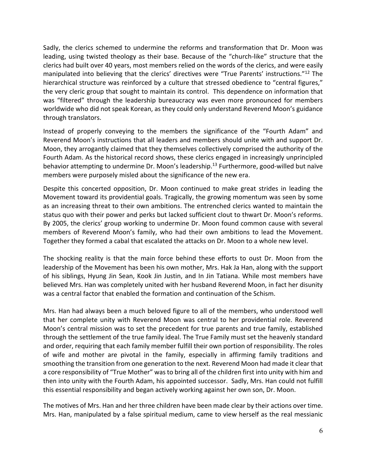Sadly, the clerics schemed to undermine the reforms and transformation that Dr. Moon was leading, using twisted theology as their base. Because of the "church-like" structure that the clerics had built over 40 years, most members relied on the words of the clerics, and were easily manipulated into believing that the clerics' directives were "True Parents' instructions."12 The hierarchical structure was reinforced by a culture that stressed obedience to "central figures," the very cleric group that sought to maintain its control. This dependence on information that was "filtered" through the leadership bureaucracy was even more pronounced for members worldwide who did not speak Korean, as they could only understand Reverend Moon's guidance through translators.

Instead of properly conveying to the members the significance of the "Fourth Adam" and Reverend Moon's instructions that all leaders and members should unite with and support Dr. Moon, they arrogantly claimed that they themselves collectively comprised the authority of the Fourth Adam. As the historical record shows, these clerics engaged in increasingly unprincipled behavior attempting to undermine Dr. Moon's leadership.<sup>13</sup> Furthermore, good-willed but naïve members were purposely misled about the significance of the new era.

Despite this concerted opposition, Dr. Moon continued to make great strides in leading the Movement toward its providential goals. Tragically, the growing momentum was seen by some as an increasing threat to their own ambitions. The entrenched clerics wanted to maintain the status quo with their power and perks but lacked sufficient clout to thwart Dr. Moon's reforms. By 2005, the clerics' group working to undermine Dr. Moon found common cause with several members of Reverend Moon's family, who had their own ambitions to lead the Movement. Together they formed a cabal that escalated the attacks on Dr. Moon to a whole new level.

The shocking reality is that the main force behind these efforts to oust Dr. Moon from the leadership of the Movement has been his own mother, Mrs. Hak Ja Han, along with the support of his siblings, Hyung Jin Sean, Kook Jin Justin, and In Jin Tatiana. While most members have believed Mrs. Han was completely united with her husband Reverend Moon, in fact her disunity was a central factor that enabled the formation and continuation of the Schism.

Mrs. Han had always been a much beloved figure to all of the members, who understood well that her complete unity with Reverend Moon was central to her providential role. Reverend Moon's central mission was to set the precedent for true parents and true family, established through the settlement of the true family ideal. The True Family must set the heavenly standard and order, requiring that each family member fulfill their own portion of responsibility. The roles of wife and mother are pivotal in the family, especially in affirming family traditions and smoothing the transition from one generation to the next. Reverend Moon had made it clear that a core responsibility of "True Mother" was to bring all of the children first into unity with him and then into unity with the Fourth Adam, his appointed successor. Sadly, Mrs. Han could not fulfill this essential responsibility and began actively working against her own son, Dr. Moon.

The motives of Mrs. Han and her three children have been made clear by their actions over time. Mrs. Han, manipulated by a false spiritual medium, came to view herself as the real messianic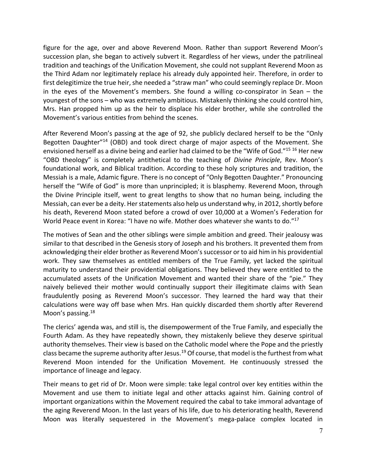figure for the age, over and above Reverend Moon. Rather than support Reverend Moon's succession plan, she began to actively subvert it. Regardless of her views, under the patrilineal tradition and teachings of the Unification Movement, she could not supplant Reverend Moon as the Third Adam nor legitimately replace his already duly appointed heir. Therefore, in order to first delegitimize the true heir, she needed a "straw man" who could seemingly replace Dr. Moon in the eyes of the Movement's members. She found a willing co-conspirator in Sean – the youngest of the sons – who was extremely ambitious. Mistakenly thinking she could control him, Mrs. Han propped him up as the heir to displace his elder brother, while she controlled the Movement's various entities from behind the scenes.

After Reverend Moon's passing at the age of 92, she publicly declared herself to be the "Only Begotten Daughter"14 (OBD) and took direct charge of major aspects of the Movement. She envisioned herself as a divine being and earlier had claimed to be the "Wife of God."<sup>15 16</sup> Her new "OBD theology" is completely antithetical to the teaching of *Divine Principle*, Rev. Moon's foundational work, and Biblical tradition. According to these holy scriptures and tradition, the Messiah is a male, Adamic figure. There is no concept of "Only Begotten Daughter." Pronouncing herself the "Wife of God" is more than unprincipled; it is blasphemy. Reverend Moon, through the Divine Principle itself, went to great lengths to show that no human being, including the Messiah, can ever be a deity. Her statements also help us understand why, in 2012, shortly before his death, Reverend Moon stated before a crowd of over 10,000 at a Women's Federation for World Peace event in Korea: "I have no wife. Mother does whatever she wants to do."<sup>17</sup>

The motives of Sean and the other siblings were simple ambition and greed. Their jealousy was similar to that described in the Genesis story of Joseph and his brothers. It prevented them from acknowledging their elder brother as Reverend Moon's successor or to aid him in his providential work. They saw themselves as entitled members of the True Family, yet lacked the spiritual maturity to understand their providential obligations. They believed they were entitled to the accumulated assets of the Unification Movement and wanted their share of the "pie." They naively believed their mother would continually support their illegitimate claims with Sean fraudulently posing as Reverend Moon's successor. They learned the hard way that their calculations were way off base when Mrs. Han quickly discarded them shortly after Reverend Moon's passing.<sup>18</sup>

The clerics' agenda was, and still is, the disempowerment of the True Family, and especially the Fourth Adam. As they have repeatedly shown, they mistakenly believe they deserve spiritual authority themselves. Their view is based on the Catholic model where the Pope and the priestly class became the supreme authority after Jesus.<sup>19</sup> Of course, that model is the furthest from what Reverend Moon intended for the Unification Movement. He continuously stressed the importance of lineage and legacy.

Their means to get rid of Dr. Moon were simple: take legal control over key entities within the Movement and use them to initiate legal and other attacks against him. Gaining control of important organizations within the Movement required the cabal to take immoral advantage of the aging Reverend Moon. In the last years of his life, due to his deteriorating health, Reverend Moon was literally sequestered in the Movement's mega-palace complex located in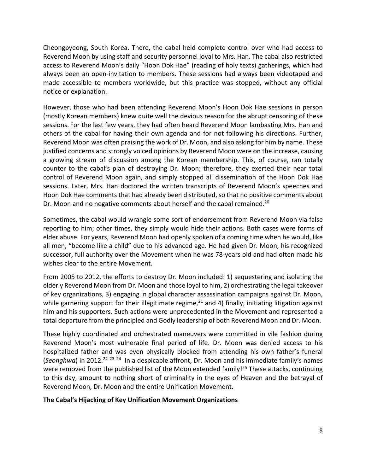Cheongpyeong, South Korea. There, the cabal held complete control over who had access to Reverend Moon by using staff and security personnel loyal to Mrs. Han. The cabal also restricted access to Reverend Moon's daily "Hoon Dok Hae" (reading of holy texts) gatherings, which had always been an open-invitation to members. These sessions had always been videotaped and made accessible to members worldwide, but this practice was stopped, without any official notice or explanation.

However, those who had been attending Reverend Moon's Hoon Dok Hae sessions in person (mostly Korean members) knew quite well the devious reason for the abrupt censoring of these sessions. For the last few years, they had often heard Reverend Moon lambasting Mrs. Han and others of the cabal for having their own agenda and for not following his directions. Further, Reverend Moon was often praising the work of Dr. Moon, and also asking for him by name. These justified concerns and strongly voiced opinions by Reverend Moon were on the increase, causing a growing stream of discussion among the Korean membership. This, of course, ran totally counter to the cabal's plan of destroying Dr. Moon; therefore, they exerted their near total control of Reverend Moon again, and simply stopped all dissemination of the Hoon Dok Hae sessions. Later, Mrs. Han doctored the written transcripts of Reverend Moon's speeches and Hoon Dok Hae comments that had already been distributed, so that no positive comments about Dr. Moon and no negative comments about herself and the cabal remained.<sup>20</sup>

Sometimes, the cabal would wrangle some sort of endorsement from Reverend Moon via false reporting to him; other times, they simply would hide their actions. Both cases were forms of elder abuse. For years, Reverend Moon had openly spoken of a coming time when he would, like all men, "become like a child" due to his advanced age. He had given Dr. Moon, his recognized successor, full authority over the Movement when he was 78-years old and had often made his wishes clear to the entire Movement.

From 2005 to 2012, the efforts to destroy Dr. Moon included: 1) sequestering and isolating the elderly Reverend Moon from Dr. Moon and those loyal to him, 2) orchestrating the legal takeover of key organizations, 3) engaging in global character assassination campaigns against Dr. Moon, while garnering support for their illegitimate regime, $21$  and 4) finally, initiating litigation against him and his supporters. Such actions were unprecedented in the Movement and represented a total departure from the principled and Godly leadership of both Reverend Moon and Dr. Moon.

These highly coordinated and orchestrated maneuvers were committed in vile fashion during Reverend Moon's most vulnerable final period of life. Dr. Moon was denied access to his hospitalized father and was even physically blocked from attending his own father's funeral (*Seonghwa*) in 2012.22 <sup>23</sup> <sup>24</sup> In a despicable affront, Dr. Moon and his immediate family's names were removed from the published list of the Moon extended family!<sup>25</sup> These attacks, continuing to this day, amount to nothing short of criminality in the eyes of Heaven and the betrayal of Reverend Moon, Dr. Moon and the entire Unification Movement.

#### **The Cabal's Hijacking of Key Unification Movement Organizations**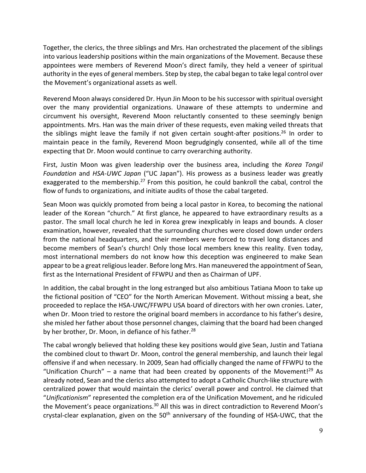Together, the clerics, the three siblings and Mrs. Han orchestrated the placement of the siblings into various leadership positions within the main organizations of the Movement. Because these appointees were members of Reverend Moon's direct family, they held a veneer of spiritual authority in the eyes of general members. Step by step, the cabal began to take legal control over the Movement's organizational assets as well.

Reverend Moon always considered Dr. Hyun Jin Moon to be his successor with spiritual oversight over the many providential organizations. Unaware of these attempts to undermine and circumvent his oversight, Reverend Moon reluctantly consented to these seemingly benign appointments. Mrs. Han was the main driver of these requests, even making veiled threats that the siblings might leave the family if not given certain sought-after positions.<sup>26</sup> In order to maintain peace in the family, Reverend Moon begrudgingly consented, while all of the time expecting that Dr. Moon would continue to carry overarching authority.

First, Justin Moon was given leadership over the business area, including the *Korea Tongil Foundation* and *HSA-UWC Japan* ("UC Japan"). His prowess as a business leader was greatly exaggerated to the membership.<sup>27</sup> From this position, he could bankroll the cabal, control the flow of funds to organizations, and initiate audits of those the cabal targeted.

Sean Moon was quickly promoted from being a local pastor in Korea, to becoming the national leader of the Korean "church." At first glance, he appeared to have extraordinary results as a pastor. The small local church he led in Korea grew inexplicably in leaps and bounds. A closer examination, however, revealed that the surrounding churches were closed down under orders from the national headquarters, and their members were forced to travel long distances and become members of Sean's church! Only those local members knew this reality. Even today, most international members do not know how this deception was engineered to make Sean appear to be a great religious leader. Before long Mrs. Han maneuvered the appointment of Sean, first as the International President of FFWPU and then as Chairman of UPF.

In addition, the cabal brought in the long estranged but also ambitious Tatiana Moon to take up the fictional position of "CEO" for the North American Movement. Without missing a beat, she proceeded to replace the HSA-UWC/FFWPU USA board of directors with her own cronies. Later, when Dr. Moon tried to restore the original board members in accordance to his father's desire, she misled her father about those personnel changes, claiming that the board had been changed by her brother, Dr. Moon, in defiance of his father.<sup>28</sup>

The cabal wrongly believed that holding these key positions would give Sean, Justin and Tatiana the combined clout to thwart Dr. Moon, control the general membership, and launch their legal offensive if and when necessary. In 2009, Sean had officially changed the name of FFWPU to the "Unification Church" – a name that had been created by opponents of the Movement!<sup>29</sup> As already noted, Sean and the clerics also attempted to adopt a Catholic Church-like structure with centralized power that would maintain the clerics' overall power and control. He claimed that "*Unificationism*" represented the completion era of the Unification Movement, and he ridiculed the Movement's peace organizations.<sup>30</sup> All this was in direct contradiction to Reverend Moon's crystal-clear explanation, given on the  $50<sup>th</sup>$  anniversary of the founding of HSA-UWC, that the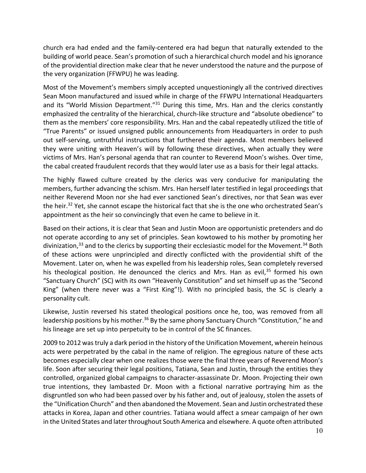church era had ended and the family-centered era had begun that naturally extended to the building of world peace. Sean's promotion of such a hierarchical church model and his ignorance of the providential direction make clear that he never understood the nature and the purpose of the very organization (FFWPU) he was leading.

Most of the Movement's members simply accepted unquestioningly all the contrived directives Sean Moon manufactured and issued while in charge of the FFWPU International Headquarters and its "World Mission Department."<sup>31</sup> During this time, Mrs. Han and the clerics constantly emphasized the centrality of the hierarchical, church-like structure and "absolute obedience" to them as the members' core responsibility. Mrs. Han and the cabal repeatedly utilized the title of "True Parents" or issued unsigned public announcements from Headquarters in order to push out self-serving, untruthful instructions that furthered their agenda. Most members believed they were uniting with Heaven's will by following these directives, when actually they were victims of Mrs. Han's personal agenda that ran counter to Reverend Moon's wishes. Over time, the cabal created fraudulent records that they would later use as a basis for their legal attacks.

The highly flawed culture created by the clerics was very conducive for manipulating the members, further advancing the schism. Mrs. Han herself later testified in legal proceedings that neither Reverend Moon nor she had ever sanctioned Sean's directives, nor that Sean was ever the heir.<sup>32</sup> Yet, she cannot escape the historical fact that she is the one who orchestrated Sean's appointment as the heir so convincingly that even he came to believe in it.

Based on their actions, it is clear that Sean and Justin Moon are opportunistic pretenders and do not operate according to any set of principles. Sean kowtowed to his mother by promoting her divinization,  $33$  and to the clerics by supporting their ecclesiastic model for the Movement.  $34$  Both of these actions were unprincipled and directly conflicted with the providential shift of the Movement. Later on, when he was expelled from his leadership roles, Sean completely reversed his theological position. He denounced the clerics and Mrs. Han as evil, $35$  formed his own "Sanctuary Church" (SC) with its own "Heavenly Constitution" and set himself up as the "Second King" (when there never was a "First King"!). With no principled basis, the SC is clearly a personality cult.

Likewise, Justin reversed his stated theological positions once he, too, was removed from all leadership positions by his mother.<sup>36</sup> By the same phony Sanctuary Church "Constitution," he and his lineage are set up into perpetuity to be in control of the SC finances.

2009 to 2012 was truly a dark period in the history of the Unification Movement, wherein heinous acts were perpetrated by the cabal in the name of religion. The egregious nature of these acts becomes especially clear when one realizes those were the final three years of Reverend Moon's life. Soon after securing their legal positions, Tatiana, Sean and Justin, through the entities they controlled, organized global campaigns to character-assassinate Dr. Moon. Projecting their own true intentions, they lambasted Dr. Moon with a fictional narrative portraying him as the disgruntled son who had been passed over by his father and, out of jealousy, stolen the assets of the "Unification Church" and then abandoned the Movement. Sean and Justin orchestrated these attacks in Korea, Japan and other countries. Tatiana would affect a smear campaign of her own in the United States and later throughout South America and elsewhere. A quote often attributed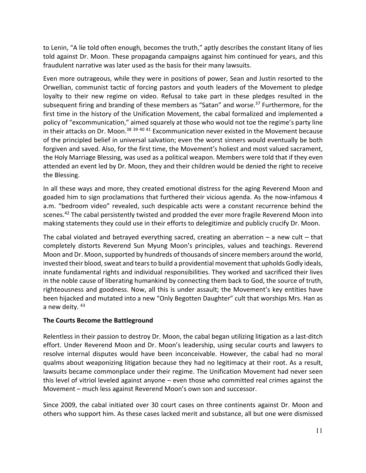to Lenin, "A lie told often enough, becomes the truth," aptly describes the constant litany of lies told against Dr. Moon. These propaganda campaigns against him continued for years, and this fraudulent narrative was later used as the basis for their many lawsuits.

Even more outrageous, while they were in positions of power, Sean and Justin resorted to the Orwellian, communist tactic of forcing pastors and youth leaders of the Movement to pledge loyalty to their new regime on video. Refusal to take part in these pledges resulted in the subsequent firing and branding of these members as "Satan" and worse. $37$  Furthermore, for the first time in the history of the Unification Movement, the cabal formalized and implemented a policy of "excommunication," aimed squarely at those who would not toe the regime's party line in their attacks on Dr. Moon.<sup>38 39 40 41</sup> Excommunication never existed in the Movement because of the principled belief in universal salvation; even the worst sinners would eventually be both forgiven and saved. Also, for the first time, the Movement's holiest and most valued sacrament, the Holy Marriage Blessing, was used as a political weapon. Members were told that if they even attended an event led by Dr. Moon, they and their children would be denied the right to receive the Blessing.

In all these ways and more, they created emotional distress for the aging Reverend Moon and goaded him to sign proclamations that furthered their vicious agenda. As the now-infamous 4 a.m. "bedroom video" revealed, such despicable acts were a constant recurrence behind the scenes.<sup>42</sup> The cabal persistently twisted and prodded the ever more fragile Reverend Moon into making statements they could use in their efforts to delegitimize and publicly crucify Dr. Moon.

The cabal violated and betrayed everything sacred, creating an aberration  $-$  a new cult  $-$  that completely distorts Reverend Sun Myung Moon's principles, values and teachings. Reverend Moon and Dr. Moon, supported by hundreds of thousands of sincere members around the world, invested their blood, sweat and tears to build a providential movement that upholds Godly ideals, innate fundamental rights and individual responsibilities. They worked and sacrificed their lives in the noble cause of liberating humankind by connecting them back to God, the source of truth, righteousness and goodness. Now, all this is under assault; the Movement's key entities have been hijacked and mutated into a new "Only Begotten Daughter" cult that worships Mrs. Han as a new deity. 43

## **The Courts Become the Battleground**

Relentless in their passion to destroy Dr. Moon, the cabal began utilizing litigation as a last-ditch effort. Under Reverend Moon and Dr. Moon's leadership, using secular courts and lawyers to resolve internal disputes would have been inconceivable. However, the cabal had no moral qualms about weaponizing litigation because they had no legitimacy at their root. As a result, lawsuits became commonplace under their regime. The Unification Movement had never seen this level of vitriol leveled against anyone – even those who committed real crimes against the Movement – much less against Reverend Moon's own son and successor.

Since 2009, the cabal initiated over 30 court cases on three continents against Dr. Moon and others who support him. As these cases lacked merit and substance, all but one were dismissed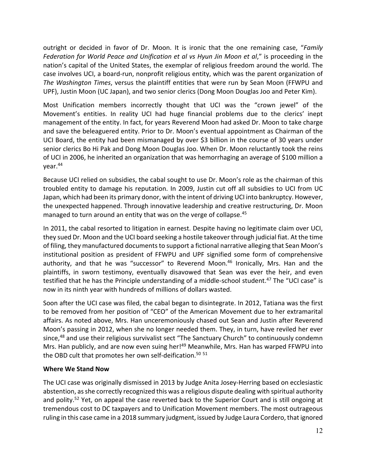outright or decided in favor of Dr. Moon. It is ironic that the one remaining case, "*Family Federation for World Peace and Unification et al vs Hyun Jin Moon et al*," is proceeding in the nation's capital of the United States, the exemplar of religious freedom around the world. The case involves UCI, a board-run, nonprofit religious entity, which was the parent organization of *The Washington Times*, versus the plaintiff entities that were run by Sean Moon (FFWPU and UPF), Justin Moon (UC Japan), and two senior clerics (Dong Moon Douglas Joo and Peter Kim).

Most Unification members incorrectly thought that UCI was the "crown jewel" of the Movement's entities. In reality UCI had huge financial problems due to the clerics' inept management of the entity. In fact, for years Reverend Moon had asked Dr. Moon to take charge and save the beleaguered entity. Prior to Dr. Moon's eventual appointment as Chairman of the UCI Board, the entity had been mismanaged by over \$3 billion in the course of 30 years under senior clerics Bo Hi Pak and Dong Moon Douglas Joo. When Dr. Moon reluctantly took the reins of UCI in 2006, he inherited an organization that was hemorrhaging an average of \$100 million a year.44

Because UCI relied on subsidies, the cabal sought to use Dr. Moon's role as the chairman of this troubled entity to damage his reputation. In 2009, Justin cut off all subsidies to UCI from UC Japan, which had been its primary donor, with the intent of driving UCI into bankruptcy. However, the unexpected happened. Through innovative leadership and creative restructuring, Dr. Moon managed to turn around an entity that was on the verge of collapse.<sup>45</sup>

In 2011, the cabal resorted to litigation in earnest. Despite having no legitimate claim over UCI, they sued Dr. Moon and the UCI board seeking a hostile takeover through judicial fiat. At the time of filing, they manufactured documents to support a fictional narrative alleging that Sean Moon's institutional position as president of FFWPU and UPF signified some form of comprehensive authority, and that he was "successor" to Reverend Moon.<sup>46</sup> Ironically, Mrs. Han and the plaintiffs, in sworn testimony, eventually disavowed that Sean was ever the heir, and even testified that he has the Principle understanding of a middle-school student.47 The "UCI case" is now in its ninth year with hundreds of millions of dollars wasted.

Soon after the UCI case was filed, the cabal began to disintegrate. In 2012, Tatiana was the first to be removed from her position of "CEO" of the American Movement due to her extramarital affairs. As noted above, Mrs. Han unceremoniously chased out Sean and Justin after Reverend Moon's passing in 2012, when she no longer needed them. They, in turn, have reviled her ever since,<sup>48</sup> and use their religious survivalist sect "The Sanctuary Church" to continuously condemn Mrs. Han publicly, and are now even suing her!<sup>49</sup> Meanwhile, Mrs. Han has warped FFWPU into the OBD cult that promotes her own self-deification.<sup>50 51</sup>

## **Where We Stand Now**

The UCI case was originally dismissed in 2013 by Judge Anita Josey-Herring based on ecclesiastic abstention, as she correctly recognized this was a religious dispute dealing with spiritual authority and polity.<sup>52</sup> Yet, on appeal the case reverted back to the Superior Court and is still ongoing at tremendous cost to DC taxpayers and to Unification Movement members. The most outrageous ruling in this case came in a 2018 summary judgment, issued by Judge Laura Cordero, that ignored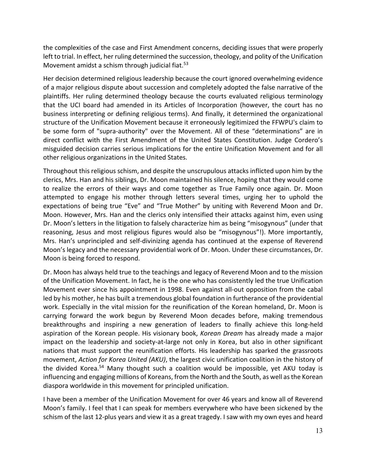the complexities of the case and First Amendment concerns, deciding issues that were properly left to trial. In effect, her ruling determined the succession, theology, and polity of the Unification Movement amidst a schism through judicial fiat.<sup>53</sup>

Her decision determined religious leadership because the court ignored overwhelming evidence of a major religious dispute about succession and completely adopted the false narrative of the plaintiffs. Her ruling determined theology because the courts evaluated religious terminology that the UCI board had amended in its Articles of Incorporation (however, the court has no business interpreting or defining religious terms). And finally, it determined the organizational structure of the Unification Movement because it erroneously legitimized the FFWPU's claim to be some form of "supra-authority" over the Movement. All of these "determinations" are in direct conflict with the First Amendment of the United States Constitution. Judge Cordero's misguided decision carries serious implications for the entire Unification Movement and for all other religious organizations in the United States.

Throughout this religious schism, and despite the unscrupulous attacks inflicted upon him by the clerics, Mrs. Han and his siblings, Dr. Moon maintained his silence, hoping that they would come to realize the errors of their ways and come together as True Family once again. Dr. Moon attempted to engage his mother through letters several times, urging her to uphold the expectations of being true "Eve" and "True Mother" by uniting with Reverend Moon and Dr. Moon. However, Mrs. Han and the clerics only intensified their attacks against him, even using Dr. Moon's letters in the litigation to falsely characterize him as being "misogynous" (under that reasoning, Jesus and most religious figures would also be "misogynous"!). More importantly, Mrs. Han's unprincipled and self-divinizing agenda has continued at the expense of Reverend Moon's legacy and the necessary providential work of Dr. Moon. Under these circumstances, Dr. Moon is being forced to respond.

Dr. Moon has always held true to the teachings and legacy of Reverend Moon and to the mission of the Unification Movement. In fact, he is the one who has consistently led the true Unification Movement ever since his appointment in 1998. Even against all-out opposition from the cabal led by his mother, he has built a tremendous global foundation in furtherance of the providential work. Especially in the vital mission for the reunification of the Korean homeland, Dr. Moon is carrying forward the work begun by Reverend Moon decades before, making tremendous breakthroughs and inspiring a new generation of leaders to finally achieve this long-held aspiration of the Korean people. His visionary book, *Korean Dream* has already made a major impact on the leadership and society-at-large not only in Korea, but also in other significant nations that must support the reunification efforts. His leadership has sparked the grassroots movement, *Action for Korea United (AKU)*, the largest civic unification coalition in the history of the divided Korea.54 Many thought such a coalition would be impossible, yet AKU today is influencing and engaging millions of Koreans, from the North and the South, as well as the Korean diaspora worldwide in this movement for principled unification.

I have been a member of the Unification Movement for over 46 years and know all of Reverend Moon's family. I feel that I can speak for members everywhere who have been sickened by the schism of the last 12-plus years and view it as a great tragedy. I saw with my own eyes and heard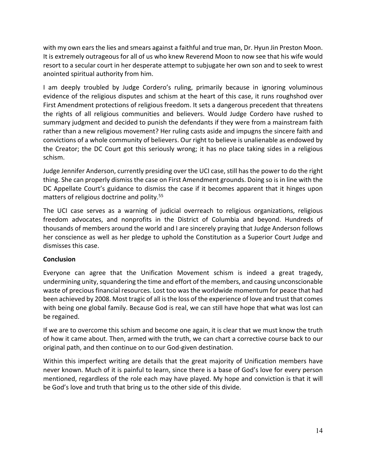with my own ears the lies and smears against a faithful and true man, Dr. Hyun Jin Preston Moon. It is extremely outrageous for all of us who knew Reverend Moon to now see that his wife would resort to a secular court in her desperate attempt to subjugate her own son and to seek to wrest anointed spiritual authority from him.

I am deeply troubled by Judge Cordero's ruling, primarily because in ignoring voluminous evidence of the religious disputes and schism at the heart of this case, it runs roughshod over First Amendment protections of religious freedom. It sets a dangerous precedent that threatens the rights of all religious communities and believers. Would Judge Cordero have rushed to summary judgment and decided to punish the defendants if they were from a mainstream faith rather than a new religious movement? Her ruling casts aside and impugns the sincere faith and convictions of a whole community of believers. Our right to believe is unalienable as endowed by the Creator; the DC Court got this seriously wrong; it has no place taking sides in a religious schism.

Judge Jennifer Anderson, currently presiding over the UCI case, still has the power to do the right thing. She can properly dismiss the case on First Amendment grounds. Doing so is in line with the DC Appellate Court's guidance to dismiss the case if it becomes apparent that it hinges upon matters of religious doctrine and polity.<sup>55</sup>

The UCI case serves as a warning of judicial overreach to religious organizations, religious freedom advocates, and nonprofits in the District of Columbia and beyond. Hundreds of thousands of members around the world and I are sincerely praying that Judge Anderson follows her conscience as well as her pledge to uphold the Constitution as a Superior Court Judge and dismisses this case.

## **Conclusion**

Everyone can agree that the Unification Movement schism is indeed a great tragedy, undermining unity, squandering the time and effort of the members, and causing unconscionable waste of precious financial resources. Lost too was the worldwide momentum for peace that had been achieved by 2008. Most tragic of all is the loss of the experience of love and trust that comes with being one global family. Because God is real, we can still have hope that what was lost can be regained.

If we are to overcome this schism and become one again, it is clear that we must know the truth of how it came about. Then, armed with the truth, we can chart a corrective course back to our original path, and then continue on to our God-given destination.

Within this imperfect writing are details that the great majority of Unification members have never known. Much of it is painful to learn, since there is a base of God's love for every person mentioned, regardless of the role each may have played. My hope and conviction is that it will be God's love and truth that bring us to the other side of this divide.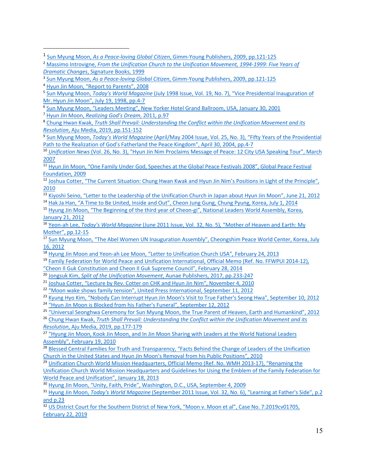<sup>6</sup> Sun Myung Moon, "Leaders Meeting", New Yorker Hotel Grand Ballroom, USA, January 30, 2001

<sup>7</sup> Hyun Jin Moon, *Realizing God's Dream*, 2011, p.97

<sup>9</sup> Sun Myung Moon, *Today's World Magazine* (April/May 2004 Issue, Vol. 25, No. 3), "Fifty Years of the Providential Path to the Realization of God's Fatherland the Peace Kingdom", April 30, 2004, pp.4-7

<sup>11</sup> Hyun Jin Moon, "One Family Under God, Speeches at the Global Peace Festivals 2008", Global Peace Festival Foundation, 2009

<sup>12</sup> Joshua Cotter, "The Current Situation: Chung Hwan Kwak and Hyun Jin Nim's Positions in Light of the Principle", 2010

- <sup>13</sup> Kiyoshi Seino, "Letter to the Leadership of the Unification Church in Japan about Hyun Jin Moon", June 21, 2012
- <sup>14</sup> Hak Ja Han, "A Time to Be United, Inside and Out", Cheon Jung Gung, Chung Pyung, Korea, July 1, 2014
- <sup>15</sup> Hyung Jin Moon, "The Beginning of the third year of Cheon-gi", National Leaders World Assembly, Korea, January 21, 2012

<sup>16</sup> Yeon-ah Lee, *Today's World Magazine* (June 2011 Issue, Vol. 32, No. 5)*,* "Mother of Heaven and Earth: My

- Mother", pp.12-15<br><sup>17</sup> Sun Myung Moon, "The Abel Women UN Inauguration Assembly", Cheongshim Peace World Center, Korea, July 16, 2012
- <sup>18</sup> Hyung Jin Moon and Yeon-ah Lee Moon, "Letter to Unification Church USA", February 24, 2013
- <sup>19</sup> Family Federation for World Peace and Unification International, Official Memo (Ref. No. FFWPUI 2014-12), "Cheon Il Guk Constitution and Cheon Il Guk Supreme Council", February 28, 2014
- <sup>20</sup> Jongsuk Kim, *Split of the Unification Movement*, Aunae Publishers, 2017, pp.233-247
- <sup>21</sup> Joshua Cotter, "Lecture by Rev. Cotter on CHK and Hyun Jin Nim", November 4, 2010

<sup>22</sup> "Moon wake shows family tension", United Press International, September 11, 2012

<sup>23</sup> Kyung Hyo Kim, "Nobody Can Interrupt Hyun Jin Moon's Visit to True Father's Seong Hwa", September 10, 2012

<sup>24</sup> "Hyun Jin Moon is Blocked from his Father's Funeral", September 12, 2012

<sup>25</sup> "Universal Seonghwa Ceremony for Sun Myung Moon, the True Parent of Heaven, Earth and Humankind", 2012

<sup>26</sup> Chung Hwan Kwak, *Truth Shall Prevail: Understanding the Conflict within the Unification Movement and its Resolution*, Aju Media, 2019, pp.177-179

<sup>27</sup> "Hyung Jin Moon, Kook Jin Moon, and In Jin Moon Sharing with Leaders at the World National Leaders Assembly", February 19, 2010

<sup>28</sup> Blessed Central Families for Truth and Transparency, "Facts Behind the Change of Leaders of the Unification Church in the United States and Hyun Jin Moon's Removal from his Public Positions", 2010

<sup>29</sup> Unification Church World Mission Headquarters, Official Memo (Ref. No. WMH 2013-17), "Renaming the Unification Church World Mission Headquarters and Guidelines for Using the Emblem of the Family Federation for World Peace and Unification", January 18, 2013

<sup>30</sup> Hyung Jin Moon, "Unity, Faith, Pride", Washington, D.C., USA, September 4, 2009

<sup>31</sup> Hyung Jin Moon, *Today's World Magazine* (September 2011 Issue, Vol. 32, No. 6), "Learning at Father's Side", p.2 and p.23<br><sup>32</sup> US District Court for the Southern District of New York, "Moon v. Moon et al", Case No. 7:2019cv01705,

February 22, 2019

<sup>1</sup> Sun Myung Moon, *As a Peace-loving Global Citizen*, Gimm-Young Publishers, 2009, pp.121-125

<sup>2</sup> Massimo Introvigne, *From the Unification Church to the Unification Movement, 1994-1999: Five Years of Dramatic Changes*, Signature Books, 1999

<sup>3</sup> Sun Myung Moon, *As a Peace-loving Global Citizen*, Gimm-Young Publishers, 2009, pp.121-125

<sup>4</sup> Hyun Jin Moon, "Report to Parents", 2008

<sup>5</sup> Sun Myung Moon, *Today's World Magazine* (July 1998 Issue, Vol. 19, No. 7), "Vice Presidential Inauguration of Mr. Hyun Jin Moon", July 19, 1998, pp.4-7

<sup>8</sup> Chung Hwan Kwak, *Truth Shall Prevail: Understanding the Conflict within the Unification Movement and its Resolution*, Aju Media, 2019, pp.151-152

<sup>10</sup> *Unification News* (Vol. 26, No. 3), "Hyun Jin Nim Proclaims Message of Peace: 12 City USA Speaking Tour", March 2007